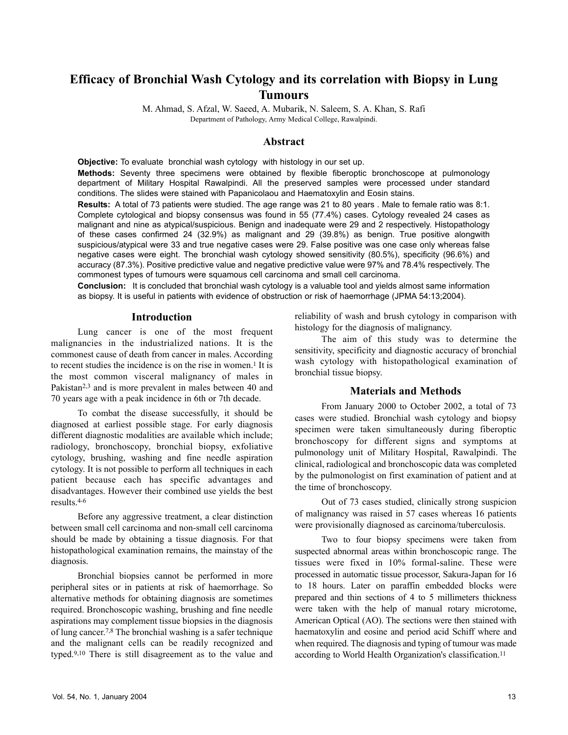# **Efficacy of Bronchial Wash Cytology and its correlation with Biopsy in Lung Tumours**

M. Ahmad, S. Afzal, W. Saeed, A. Mubarik, N. Saleem, S. A. Khan, S. Rafi Department of Pathology, Army Medical College, Rawalpindi.

## **Abstract**

**Objective:** To evaluate bronchial wash cytology with histology in our set up. **Methods:** Seventy three specimens were obtained by flexible fiberoptic bronchoscope at pulmonology department of Military Hospital Rawalpindi. All the preserved samples were processed under standard conditions. The slides were stained with Papanicolaou and Haematoxylin and Eosin stains.

**Results:** A total of 73 patients were studied. The age range was 21 to 80 years . Male to female ratio was 8:1. Complete cytological and biopsy consensus was found in 55 (77.4%) cases. Cytology revealed 24 cases as malignant and nine as atypical/suspicious. Benign and inadequate were 29 and 2 respectively. Histopathology of these cases confirmed 24 (32.9%) as malignant and 29 (39.8%) as benign. True positive alongwith suspicious/atypical were 33 and true negative cases were 29. False positive was one case only whereas false negative cases were eight. The bronchial wash cytology showed sensitivity (80.5%), specificity (96.6%) and accuracy (87.3%). Positive predictive value and negative predictive value were 97% and 78.4% respectively. The commonest types of tumours were squamous cell carcinoma and small cell carcinoma.

**Conclusion:** It is concluded that bronchial wash cytology is a valuable tool and yields almost same information as biopsy. It is useful in patients with evidence of obstruction or risk of haemorrhage (JPMA 54:13;2004).

## **Introduction**

Lung cancer is one of the most frequent malignancies in the industrialized nations. It is the commonest cause of death from cancer in males. According to recent studies the incidence is on the rise in women.<sup>1</sup> It is the most common visceral malignancy of males in Pakistan<sup>2,3</sup> and is more prevalent in males between 40 and 70 years age with a peak incidence in 6th or 7th decade.

To combat the disease successfully, it should be diagnosed at earliest possible stage. For early diagnosis different diagnostic modalities are available which include; radiology, bronchoscopy, bronchial biopsy, exfoliative cytology, brushing, washing and fine needle aspiration cytology. It is not possible to perform all techniques in each patient because each has specific advantages and disadvantages. However their combined use yields the best results.4-6

Before any aggressive treatment, a clear distinction between small cell carcinoma and non-small cell carcinoma should be made by obtaining a tissue diagnosis. For that histopathological examination remains, the mainstay of the diagnosis.

Bronchial biopsies cannot be performed in more peripheral sites or in patients at risk of haemorrhage. So alternative methods for obtaining diagnosis are sometimes required. Bronchoscopic washing, brushing and fine needle aspirations may complement tissue biopsies in the diagnosis of lung cancer.7,8 The bronchial washing is a safer technique and the malignant cells can be readily recognized and typed.9,10 There is still disagreement as to the value and reliability of wash and brush cytology in comparison with histology for the diagnosis of malignancy.

The aim of this study was to determine the sensitivity, specificity and diagnostic accuracy of bronchial wash cytology with histopathological examination of bronchial tissue biopsy.

## **Materials and Methods**

From January 2000 to October 2002, a total of 73 cases were studied. Bronchial wash cytology and biopsy specimen were taken simultaneously during fiberoptic bronchoscopy for different signs and symptoms at pulmonology unit of Military Hospital, Rawalpindi. The clinical, radiological and bronchoscopic data was completed by the pulmonologist on first examination of patient and at the time of bronchoscopy.

Out of 73 cases studied, clinically strong suspicion of malignancy was raised in 57 cases whereas 16 patients were provisionally diagnosed as carcinoma/tuberculosis.

Two to four biopsy specimens were taken from suspected abnormal areas within bronchoscopic range. The tissues were fixed in 10% formal-saline. These were processed in automatic tissue processor, Sakura-Japan for 16 to 18 hours. Later on paraffin embedded blocks were prepared and thin sections of 4 to 5 millimeters thickness were taken with the help of manual rotary microtome, American Optical (AO). The sections were then stained with haematoxylin and eosine and period acid Schiff where and when required. The diagnosis and typing of tumour was made according to World Health Organization's classification.11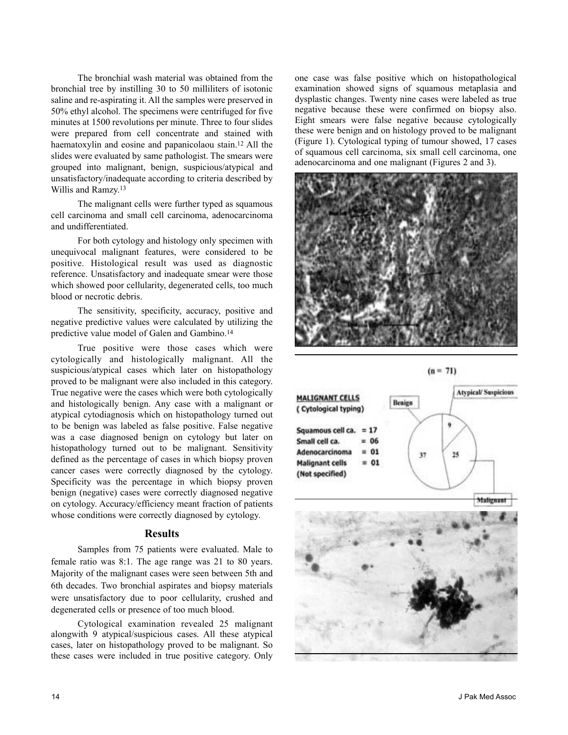The bronchial wash material was obtained from the bronchial tree by instilling 30 to 50 milliliters of isotonic saline and re-aspirating it. All the samples were preserved in 50% ethyl alcohol. The specimens were centrifuged for five minutes at 1500 revolutions per minute. Three to four slides were prepared from cell concentrate and stained with haematoxylin and eosine and papanicolaou stain.<sup>12</sup> All the slides were evaluated by same pathologist. The smears were grouped into malignant, benign, suspicious/atypical and unsatisfactory/inadequate according to criteria described by Willis and Ramzy.13

The malignant cells were further typed as squamous cell carcinoma and small cell carcinoma, adenocarcinoma and undifferentiated.

For both cytology and histology only specimen with unequivocal malignant features, were considered to be positive. Histological result was used as diagnostic reference. Unsatisfactory and inadequate smear were those which showed poor cellularity, degenerated cells, too much blood or necrotic debris.

The sensitivity, specificity, accuracy, positive and negative predictive values were calculated by utilizing the predictive value model of Galen and Gambino.14

True positive were those cases which were cytologically and histologically malignant. All the suspicious/atypical cases which later on histopathology proved to be malignant were also included in this category. True negative were the cases which were both cytologically and histologically benign. Any case with a malignant or atypical cytodiagnosis which on histopathology turned out to be benign was labeled as false positive. False negative was a case diagnosed benign on cytology but later on histopathology turned out to be malignant. Sensitivity defined as the percentage of cases in which biopsy proven cancer cases were correctly diagnosed by the cytology. Specificity was the percentage in which biopsy proven benign (negative) cases were correctly diagnosed negative on cytology. Accuracy/efficiency meant fraction of patients whose conditions were correctly diagnosed by cytology.

#### **Results**

Samples from 75 patients were evaluated. Male to female ratio was 8:1. The age range was 21 to 80 years. Majority of the malignant cases were seen between 5th and 6th decades. Two bronchial aspirates and biopsy materials were unsatisfactory due to poor cellularity, crushed and degenerated cells or presence of too much blood.

Cytological examination revealed 25 malignant alongwith 9 atypical/suspicious cases. All these atypical cases, later on histopathology proved to be malignant. So these cases were included in true positive category. Only

one case was false positive which on histopathological examination showed signs of squamous metaplasia and dysplastic changes. Twenty nine cases were labeled as true negative because these were confirmed on biopsy also. Eight smears were false negative because cytologically these were benign and on histology proved to be malignant (Figure 1). Cytological typing of tumour showed, 17 cases of squamous cell carcinoma, six small cell carcinoma, one adenocarcinoma and one malignant (Figures 2 and 3).







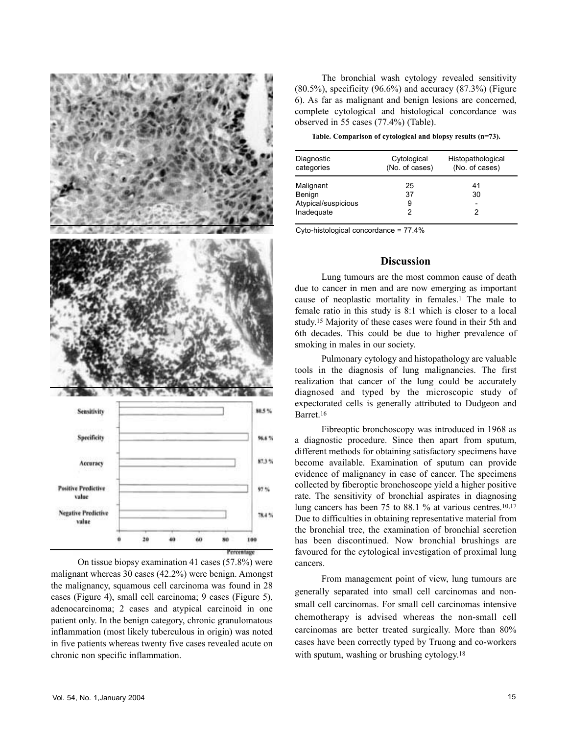

On tissue biopsy examination 41 cases (57.8%) were malignant whereas 30 cases (42.2%) were benign. Amongst the malignancy, squamous cell carcinoma was found in 28 cases (Figure 4), small cell carcinoma; 9 cases (Figure 5), adenocarcinoma; 2 cases and atypical carcinoid in one patient only. In the benign category, chronic granulomatous inflammation (most likely tuberculous in origin) was noted in five patients whereas twenty five cases revealed acute on chronic non specific inflammation.

The bronchial wash cytology revealed sensitivity  $(80.5\%)$ , specificity  $(96.6\%)$  and accuracy  $(87.3\%)$  (Figure 6). As far as malignant and benign lesions are concerned, complete cytological and histological concordance was observed in 55 cases (77.4%) (Table).

**Table. Comparison of cytological and biopsy results (n=73).**

| Diagnostic<br>categories      | Cytological<br>(No. of cases) | Histopathological<br>(No. of cases) |
|-------------------------------|-------------------------------|-------------------------------------|
| Malignant                     | 25                            | 41                                  |
| Benign<br>Atypical/suspicious | 37<br>9                       | 30                                  |
| Inadequate                    | 2                             |                                     |

Cyto-histological concordance = 77.4%

## **Discussion**

Lung tumours are the most common cause of death due to cancer in men and are now emerging as important cause of neoplastic mortality in females.1 The male to female ratio in this study is 8:1 which is closer to a local study.15 Majority of these cases were found in their 5th and 6th decades. This could be due to higher prevalence of smoking in males in our society.

Pulmonary cytology and histopathology are valuable tools in the diagnosis of lung malignancies. The first realization that cancer of the lung could be accurately diagnosed and typed by the microscopic study of expectorated cells is generally attributed to Dudgeon and Barret.16

Fibreoptic bronchoscopy was introduced in 1968 as a diagnostic procedure. Since then apart from sputum, different methods for obtaining satisfactory specimens have become available. Examination of sputum can provide evidence of malignancy in case of cancer. The specimens collected by fiberoptic bronchoscope yield a higher positive rate. The sensitivity of bronchial aspirates in diagnosing lung cancers has been 75 to 88.1 % at various centres.10,17 Due to difficulties in obtaining representative material from the bronchial tree, the examination of bronchial secretion has been discontinued. Now bronchial brushings are favoured for the cytological investigation of proximal lung cancers.

From management point of view, lung tumours are generally separated into small cell carcinomas and nonsmall cell carcinomas. For small cell carcinomas intensive chemotherapy is advised whereas the non-small cell carcinomas are better treated surgically. More than 80% cases have been correctly typed by Truong and co-workers with sputum, washing or brushing cytology.<sup>18</sup>